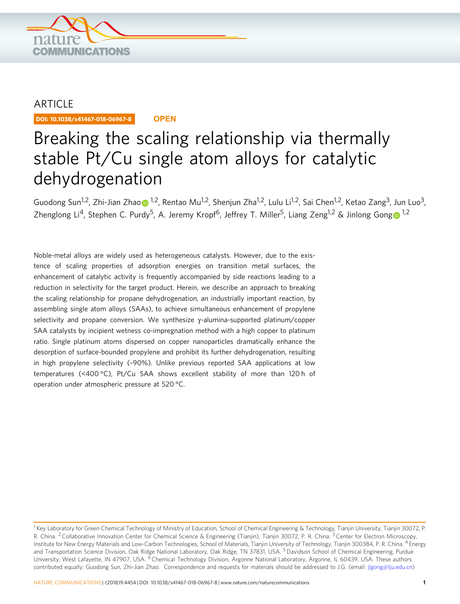

## ARTICLE

DOI: 10.1038/s41467-018-06967-8 **OPEN**

# Breaking the scaling relationship via thermally stable Pt/Cu single atom alloys for catalytic dehydrogenation

Gu[o](http://orcid.org/0000-0002-8856-5078)dong Sun<sup>1,2</sup>, Zhi-Jian Zhao 1,<sup>1,2</sup>, Rentao Mu<sup>1,2</sup>, Shenjun Zha<sup>1,2</sup>, Lulu Li<sup>1,2</sup>, Sai Chen<sup>1,2</sup>, Ketao Zang<sup>3</sup>, Jun Luo<sup>3</sup>, Zhen[g](http://orcid.org/0000-0001-7263-318X)long Li<sup>4</sup>, Stephen C. Purdy<sup>5</sup>, A. Jeremy Kropf<sup>6</sup>, Jeffrey T. Miller<sup>5</sup>, Liang Zeng<sup>[1](http://orcid.org/0000-0001-7263-318X),2</sup> & Jinlong Gong <sup>1,2</sup>

Noble-metal alloys are widely used as heterogeneous catalysts. However, due to the existence of scaling properties of adsorption energies on transition metal surfaces, the enhancement of catalytic activity is frequently accompanied by side reactions leading to a reduction in selectivity for the target product. Herein, we describe an approach to breaking the scaling relationship for propane dehydrogenation, an industrially important reaction, by assembling single atom alloys (SAAs), to achieve simultaneous enhancement of propylene selectivity and propane conversion. We synthesize γ-alumina-supported platinum/copper SAA catalysts by incipient wetness co-impregnation method with a high copper to platinum ratio. Single platinum atoms dispersed on copper nanoparticles dramatically enhance the desorption of surface-bounded propylene and prohibit its further dehydrogenation, resulting in high propylene selectivity (~90%). Unlike previous reported SAA applications at low temperatures (<400 °C), Pt/Cu SAA shows excellent stability of more than 120 h of operation under atmospheric pressure at 520 °C.

<sup>&</sup>lt;sup>1</sup> Key Laboratory for Green Chemical Technology of Ministry of Education, School of Chemical Engineering & Technology, Tianjin University, Tianjin 30072, P. R. China. <sup>2</sup> Collaborative Innovation Center for Chemical Science & Engineering (Tianjin), Tianjin 30072, P. R. China. <sup>3</sup> Center for Electron Microscopy, Institute for New Energy Materials and Low-Carbon Technologies, School of Materials, Tianjin University of Technology, Tianjin 300384, P. R. China. <sup>4</sup> Energy and Transportation Science Division, Oak Ridge National Laboratory, Oak Ridge, TN 37831, USA. <sup>5</sup> Davidson School of Chemical Engineering, Purdue University, West Lafayette, IN 47907, USA. <sup>6</sup> Chemical Technology Division, Argonne National Laboratory, Argonne, IL 60439, USA. These authors contributed equally: Guodong Sun, Zhi-Jian Zhao. Correspondence and requests for materials should be addressed to J.G. (email: [jlgong@tju.edu.cn\)](mailto:jlgong@tju.edu.cn)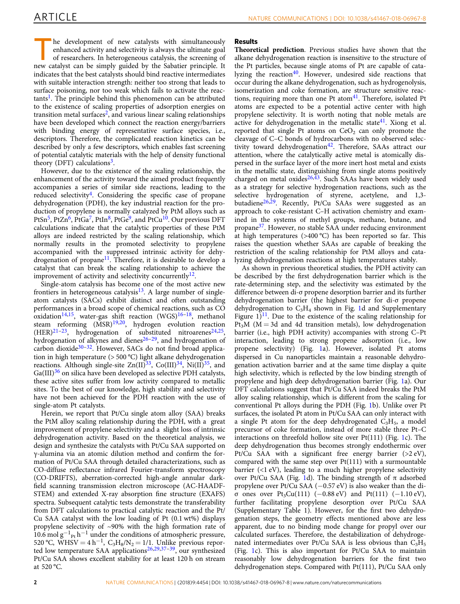he development of new catalysts with simultaneously enhanced activity and selectivity is always the ultimate goal of researchers. In heterogeneous catalysis, the screening of new catalyst can be simply guided by the Sabatier principle. It indicates that the best catalysts should bind reactive intermediates with suitable interaction strength: neither too strong that leads to surface poisoning, nor too weak which fails to activate the reac $tants<sup>1</sup>$ . The principle behind this phenomenon can be attributed to the existence of scaling properties of adsorption energies on transition metal surfaces<sup>2</sup>, and various linear scaling relationships have been developed which connect the reaction energy/barriers with binding energy of representative surface species, i.e., descriptors. Therefore, the complicated reaction kinetics can be described by only a few descriptors, which enables fast screening of potential catalytic materials with the help of density functional theory (DFT) calculations<sup>[3](#page-7-0)</sup>.

However, due to the existence of the scaling relationship, the enhancement of the activity toward the aimed product frequently accompanies a series of similar side reactions, leading to the reduced selectivity<sup>[4](#page-7-0)</sup>. Considering the specific case of propane dehydrogenation (PDH), the key industrial reaction for the production of propylene is normally catalyzed by PtM alloys such as PtSn<sup>5</sup>, PtZn<sup>6</sup>, PtGa<sup>7</sup>, PtIn<sup>[8](#page-7-0)</sup>, PtGe<sup>9</sup>, and PtCu<sup>10</sup>. Our previous DFT calculations indicate that the catalytic properties of these PtM alloys are indeed restricted by the scaling relationship, which normally results in the promoted selectivity to propylene accompanied with the suppressed intrinsic activity for dehydrogenation of propane<sup>11</sup>. Therefore, it is desirable to develop a catalyst that can break the scaling relationship to achieve the improvement of activity and selectivity concurrently<sup>[12](#page-7-0)</sup>.

Single-atom catalysis has become one of the most active new frontiers in heterogeneous catalysis<sup>[13](#page-7-0)</sup>. A large number of singleatom catalysts (SACs) exhibit distinct and often outstanding performances in a broad scope of chemical reactions, such as CO oxidation<sup>14,15</sup>, water-gas shift reaction (WGS)<sup>[16](#page-7-0)–[18](#page-7-0)</sup>, methanol steam reforming  $(MSR)^{19,20}$  $(MSR)^{19,20}$  $(MSR)^{19,20}$ , hydrogen evolution reaction  $(HER)^{21-23}$  $(HER)^{21-23}$  $(HER)^{21-23}$ , hydrogenation of substituted nitroarenes<sup>24,25</sup>, hydrogenation of alkynes and dienes<sup>[26](#page-7-0)–[29](#page-7-0)</sup>, and hydrogenation of carbon dioxide $30-32$  $30-32$  $30-32$ . However, SACs do not find broad application in high temperature (> 500 °C) light alkane dehydrogenation reactions. Although single-site  $\text{Zn(II)}^{33}$ ,  $\text{Co(III)}^{34}$ ,  $\text{Ni(II)}^{35}$ , and  $Ga(III)<sup>36</sup>$  $Ga(III)<sup>36</sup>$  $Ga(III)<sup>36</sup>$  on silica have been developed as selective PDH catalysts, these active sites suffer from low activity compared to metallic sites. To the best of our knowledge, high stability and selectivity have not been achieved for the PDH reaction with the use of single-atom Pt catalysts.

Herein, we report that Pt/Cu single atom alloy (SAA) breaks the PtM alloy scaling relationship during the PDH, with a great improvement of propylene selectivity and a slight loss of intrinsic dehydrogenation activity. Based on the theoretical analysis, we design and synthesize the catalysts with Pt/Cu SAA supported on γ-alumina via an atomic dilution method and confirm the formation of Pt/Cu SAA through detailed characterizations, such as CO-diffuse reflectance infrared Fourier-transform spectroscopy (CO-DRIFTS), aberration-corrected high-angle annular darkfield scanning transmission electron microscope (AC-HAADF-STEM) and extended X-ray absorption fine structure (EXAFS) spectra. Subsequent catalytic tests demonstrate the transferability from DFT calculations to practical catalytic reaction and the Pt/ Cu SAA catalyst with the low loading of Pt (0.1 wt%) displays propylene selectivity of ~90% with the high formation rate of 10.6 mol  $g^{-1}$ <sub>Pt</sub> h<sup>−1</sup> under the conditions of atmospheric pressure, 520 °C, WHSV = 4 h<sup>-1</sup>, C<sub>3</sub>H<sub>8</sub>/N<sub>2</sub> = 1/1. Unlike previous repor-ted low temperature SAA applications<sup>[26,29,37](#page-7-0)-39</sup>, our synthesized Pt/Cu SAA shows excellent stability for at least 120 h on stream at 520 °C.

### Results

Theoretical prediction. Previous studies have shown that the alkane dehydrogenation reaction is insensitive to the structure of the Pt particles, because single atoms of Pt are capable of cata-lyzing the reaction<sup>[40](#page-8-0)</sup>. However, undesired side reactions that occur during the alkane dehydrogenation, such as hydrogenolysis, isomerization and coke formation, are structure sensitive reactions, requiring more than one Pt atom $41$ . Therefore, isolated Pt atoms are expected to be a potential active center with high propylene selectivity. It is worth noting that noble metals are active for dehydrogenation in the metallic state<sup>41</sup>. Xiong et al. reported that single Pt atoms on  $CeO<sub>2</sub>$  can only promote the cleavage of C–C bonds of hydrocarbons with no observed selec-tivity toward dehydrogenation<sup>[42](#page-8-0)</sup>. Therefore, SAAs attract our attention, where the catalytically active metal is atomically dispersed in the surface layer of the more inert host metal and exists in the metallic state, distinguishing from single atoms positively charged on metal oxides $26,43$  $26,43$  $26,43$ . Such SAAs have been widely used as a strategy for selective hydrogenation reactions, such as the selective hydrogenation of styrene, acetylene, and 1,3 butadiene<sup>26,29</sup>. Recently, Pt/Cu SAAs were suggested as an approach to coke-resistant C–H activation chemistry and examined in the systems of methyl groups, methane, butane, and propane[37](#page-7-0). However, no stable SAA under reducing environment at high temperatures (>400 °C) has been reported so far. This raises the question whether SAAs are capable of breaking the restriction of the scaling relationship for PtM alloys and catalyzing dehydrogenation reactions at high temperatures stably.

As shown in previous theoretical studies, the PDH activity can be described by the first dehydrogenation barrier which is the rate-determining step, and the selectivity was estimated by the difference between di-σ propene desorption barrier and its further dehydrogenation barrier (the highest barrier for di-σ propene dehydrogenation to  $C_3H_4$  shown in Fig. [1](#page-2-0)d and Supplementary Figure  $1$ <sup>11</sup>. Due to the existence of the scaling relationship for  $Pt<sub>3</sub>M$  (M = 3d and 4d transition metals), low dehydrogenation barrier (i.e., high PDH activity) accompanies with strong C–Pt interaction, leading to strong propene adsorption (i.e., low propene selectivity) (Fig. [1a](#page-2-0)). However, isolated Pt atoms dispersed in Cu nanoparticles maintain a reasonable dehydrogenation activation barrier and at the same time display a quite high selectivity, which is reflected by the low binding strength of propylene and high deep dehydrogenation barrier (Fig. [1a](#page-2-0)). Our DFT calculations suggest that Pt/Cu SAA indeed breaks the PtM alloy scaling relationship, which is different from the scaling for conventional Pt alloys during the PDH (Fig. [1](#page-2-0)b). Unlike over Pt surfaces, the isolated Pt atom in Pt/Cu SAA can only interact with a single Pt atom for the deep dehydrogenated  $C_3H_5$ , a model precursor of coke formation, instead of more stable three Pt–C interactions on threefold hollow site over Pt(111) (Fig. [1](#page-2-0)c). The deep dehydrogenation thus becomes strongly endothermic over Pt/Cu SAA with a significant free energy barrier (>2 eV), compared with the same step over Pt(111) with a surmountable barrier  $(\langle 1 \rangle eV)$ , leading to a much higher propylene selectivity over Pt/Cu SAA (Fig. [1d](#page-2-0)). The binding strength of π adsorbed propylene over Pt/Cu SAA (−0.57 eV) is also weaker than the diσ ones over Pt<sub>3</sub>Cu(111) (−0.88 eV) and Pt(111) (−1.10 eV), further facilitating propylene desorption over Pt/Cu SAA (Supplementary Table 1). However, for the first two dehydrogenation steps, the geometry effects mentioned above are less apparent, due to no binding mode change for propyl over our calculated surfaces. Therefore, the destabilization of dehydrogenated intermediates over Pt/Cu SAA is less obvious than  $C_3H_5$ (Fig. [1](#page-2-0)c). This is also important for Pt/Cu SAA to maintain reasonably low dehydrogenation barriers for the first two dehydrogenation steps. Compared with Pt(111), Pt/Cu SAA only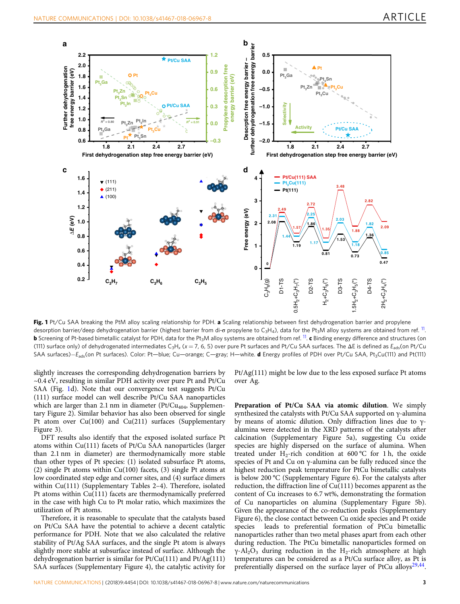<span id="page-2-0"></span>

Fig. 1 Pt/Cu SAA breaking the PtM alloy scaling relationship for PDH. a Scaling relationship between first dehydrogenation barrier and propylene desorption barrier/deep dehydrogenation barrier (highest barrier from di-σ propylene to C<sub>3</sub>H<sub>a</sub>), data for the Pt<sub>3</sub>M alloy systems are obtained from ref. <sup>11</sup>. **b** Screening of Pt-based bimetallic catalyst for PDH, data for the Pt<sub>3</sub>M alloy systems are obtained from ref. <sup>11</sup>. c Binding energy difference and structures (on (111) surface only) of dehydrogenated intermediates C<sub>3</sub>H<sub>v</sub> (x = 7, 6, 5) over pure Pt surfaces and Pt/Cu SAA surfaces. The  $\Delta E$  is defined as  $E_{\text{ads}}$ (on Pt/Cu SAA surfaces)–E<sub>ads</sub>(on Pt surfaces). Color: Pt—blue; Cu—orange; C—gray; H—white. **d** Energy profiles of PDH over Pt/Cu SAA, Pt<sub>3</sub>Cu(111) and Pt(111)

slightly increases the corresponding dehydrogenation barriers by ~0.4 eV, resulting in similar PDH activity over pure Pt and Pt/Cu SAA (Fig. 1d). Note that our convergence test suggests Pt/Cu (111) surface model can well describe Pt/Cu SAA nanoparticles which are larger than 2.1 nm in diameter ( $Pt/Cu_{404}$ , Supplementary Figure 2). Similar behavior has also been observed for single Pt atom over Cu(100) and Cu(211) surfaces (Supplementary Figure 3).

DFT results also identify that the exposed isolated surface Pt atoms within Cu(111) facets of Pt/Cu SAA nanoparticles (larger than 2.1 nm in diameter) are thermodynamically more stable than other types of Pt species: (1) isolated subsurface Pt atoms, (2) single Pt atoms within Cu(100) facets, (3) single Pt atoms at low coordinated step edge and corner sites, and (4) surface dimers within Cu(111) (Supplementary Tables 2–4). Therefore, isolated Pt atoms within Cu(111) facets are thermodynamically preferred in the case with high Cu to Pt molar ratio, which maximizes the utilization of Pt atoms.

Therefore, it is reasonable to speculate that the catalysts based on Pt/Cu SAA have the potential to achieve a decent catalytic performance for PDH. Note that we also calculated the relative stability of Pt/Ag SAA surfaces, and the single Pt atom is always slightly more stable at subsurface instead of surface. Although the dehydrogenation barrier is similar for Pt/Cu(111) and Pt/Ag(111) SAA surfaces (Supplementary Figure 4), the catalytic activity for Pt/Ag(111) might be low due to the less exposed surface Pt atoms over Ag.

Preparation of Pt/Cu SAA via atomic dilution. We simply synthesized the catalysts with Pt/Cu SAA supported on γ-alumina by means of atomic dilution. Only diffraction lines due to γalumina were detected in the XRD patterns of the catalysts after calcination (Supplementary Figure 5a), suggesting Cu oxide species are highly dispersed on the surface of alumina. When treated under  $H_2$ -rich condition at 600 °C for 1 h, the oxide species of Pt and Cu on γ-alumina can be fully reduced since the highest reduction peak temperature for PtCu bimetallic catalysts is below 200 °C (Supplementary Figure 6). For the catalysts after reduction, the diffraction line of Cu(111) becomes apparent as the content of Cu increases to 6.7 wt%, demonstrating the formation of Cu nanoparticles on alumina (Supplementary Figure 5b). Given the appearance of the co-reduction peaks (Supplementary Figure 6), the close contact between Cu oxide species and Pt oxide species leads to preferential formation of PtCu bimetallic nanoparticles rather than two metal phases apart from each other during reduction. The PtCu bimetallic nanoparticles formed on  $\gamma$ -Al<sub>2</sub>O<sub>3</sub> during reduction in the H<sub>2</sub>-rich atmosphere at high temperatures can be considered as a Pt/Cu surface alloy, as Pt is preferentially dispersed on the surface layer of PtCu alloys<sup>29,44</sup>.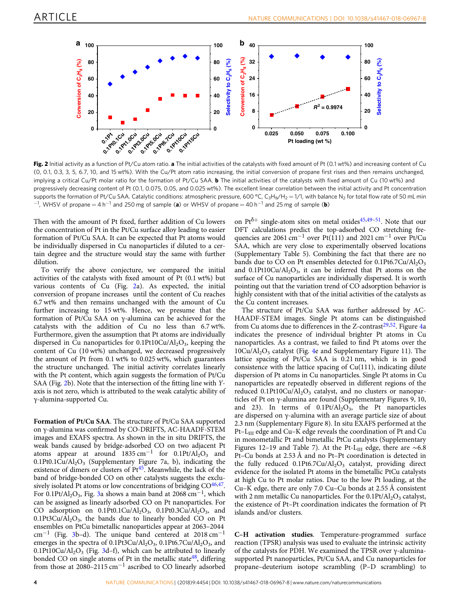

Fig. 2 Initial activity as a function of Pt/Cu atom ratio. a The initial activities of the catalysts with fixed amount of Pt (0.1 wt%) and increasing content of Cu (0, 0.1, 0.3, 3, 5, 6.7, 10, and 15 wt%). With the Cu/Pt atom ratio increasing, the initial conversion of propane first rises and then remains unchanged, implying a critical Cu/Pt molar ratio for the formation of Pt/Cu SAA. **b** The initial activities of the catalysts with fixed amount of Cu (10 wt%) and progressively decreasing content of Pt (0.1, 0.075, 0.05, and 0.025 wt%). The excellent linear correlation between the initial activity and Pt concentration supports the formation of Pt/Cu SAA. Catalytic conditions: atmospheric pressure, 600 °C, C<sub>3</sub>H<sub>8</sub>/H<sub>2</sub> = 1/1, with balance N<sub>2</sub> for total flow rate of 50 mL min  $^{-1}$ , WHSV of propane = 4 h<sup>-1</sup> and 250 mg of sample (a) or WHSV of propane = 40 h<sup>-1</sup> and 25 mg of sample (b)

Then with the amount of Pt fixed, further addition of Cu lowers the concentration of Pt in the Pt/Cu surface alloy leading to easier formation of Pt/Cu SAA. It can be expected that Pt atoms would be individually dispersed in Cu nanoparticles if diluted to a certain degree and the structure would stay the same with further dilution.

To verify the above conjecture, we compared the initial activities of the catalysts with fixed amount of Pt (0.1 wt%) but various contents of Cu (Fig. 2a). As expected, the initial conversion of propane increases until the content of Cu reaches 6.7 wt% and then remains unchanged with the amount of Cu further increasing to 15 wt%. Hence, we presume that the formation of Pt/Cu SAA on γ-alumina can be achieved for the catalysts with the addition of Cu no less than 6.7 wt%. Furthermore, given the assumption that Pt atoms are individually dispersed in Cu nanoparticles for  $0.1$ Pt10Cu/Al<sub>2</sub>O<sub>3</sub>, keeping the content of Cu (10 wt%) unchanged, we decreased progressively the amount of Pt from 0.1 wt% to 0.025 wt%, which guarantees the structure unchanged. The initial activity correlates linearly with the Pt content, which again suggests the formation of Pt/Cu SAA (Fig. 2b). Note that the intersection of the fitting line with Yaxis is not zero, which is attributed to the weak catalytic ability of γ-alumina-supported Cu.

Formation of Pt/Cu SAA. The structure of Pt/Cu SAA supported on γ-alumina was confirmed by CO-DRIFTS, AC-HAADF-STEM images and EXAFS spectra. As shown in the in situ DRIFTS, the weak bands caused by bridge-adsorbed CO on two adjacent Pt atoms appear at around 1835 cm<sup>-1</sup> for 0.1Pt/Al<sub>2</sub>O<sub>3</sub> and 0.1Pt0.1Cu/Al<sub>2</sub>O<sub>3</sub> (Supplementary Figure 7a, b), indicating the existence of dimers or clusters of Pt<sup>45</sup>. Meanwhile, the lack of the band of bridge-bonded CO on other catalysts suggests the exclusively isolated Pt atoms or low concentrations of bridging  $CO<sup>46,47</sup>$ . For 0.1Pt/Al<sub>2</sub>O<sub>3</sub>, Fig. [3a](#page-4-0) shows a main band at 2068 cm<sup>-1</sup>, which can be assigned as linearly adsorbed CO on Pt nanoparticles. For CO adsorption on  $0.1$ Pt0.1Cu/Al<sub>2</sub>O<sub>3</sub>,  $0.1$ Pt0.3Cu/Al<sub>2</sub>O<sub>3</sub>, and  $0.1$ Pt3Cu/Al<sub>2</sub>O<sub>3</sub>, the bands due to linearly bonded CO on Pt ensembles on PtCu bimetallic nanoparticles appear at 2063–2044 cm−<sup>1</sup> (Fig. [3b](#page-4-0)–d). The unique band centered at 2018 cm−<sup>1</sup> emerges in the spectra of  $0.1Pt3Cu/Al<sub>2</sub>O<sub>3</sub>$ ,  $0.1Pt6.7Cu/Al<sub>2</sub>O<sub>3</sub>$ , and 0.1Pt10Cu/Al<sub>2</sub>O<sub>3</sub> (Fig. [3d](#page-4-0)–f), which can be attributed to linearly bonded CO on single atoms of Pt in the metallic state  $48$ , differing from those at 2080–2115 cm−<sup>1</sup> ascribed to CO linearly adsorbed

on  $Pt^{\delta+}$  single-atom sites on metal oxides<sup>45,[49](#page-8-0)–[51](#page-8-0)</sup>. Note that our DFT calculations predict the top-adsorbed CO stretching frequencies are 2061 cm<sup>-1</sup> over Pt(111) and 2021 cm<sup>-1</sup> over Pt/Cu SAA, which are very close to experimentally observed locations (Supplementary Table 5). Combining the fact that there are no bands due to CO on Pt ensembles detected for  $0.1Pt6.7Cu/Al<sub>2</sub>O<sub>3</sub>$ and  $0.1$ Pt10Cu/Al<sub>2</sub>O<sub>3</sub>, it can be inferred that Pt atoms on the surface of Cu nanoparticles are individually dispersed. It is worth pointing out that the variation trend of CO adsorption behavior is highly consistent with that of the initial activities of the catalysts as the Cu content increases.

The structure of Pt/Cu SAA was further addressed by AC-HAADF-STEM images. Single Pt atoms can be distinguished from Cu atoms due to differences in the Z-contrast<sup>[29](#page-7-0),[52](#page-8-0)</sup>. Figure [4a](#page-4-0) indicates the presence of individual brighter Pt atoms in Cu nanoparticles. As a contrast, we failed to find Pt atoms over the  $10Cu/Al<sub>2</sub>O<sub>3</sub>$  catalyst (Fig. [4](#page-4-0)e and Supplementary Figure 11). The lattice spacing of Pt/Cu SAA is 0.21 nm, which is in good consistence with the lattice spacing of Cu(111), indicating dilute dispersion of Pt atoms in Cu nanoparticles. Single Pt atoms in Cu nanoparticles are repeatedly observed in different regions of the reduced  $0.1$ Pt10Cu/Al<sub>2</sub>O<sub>3</sub> catalyst, and no clusters or nanoparticles of Pt on γ-alumina are found (Supplementary Figures 9, 10, and 23). In terms of  $0.1Pt/Al_2O_3$ , the Pt nanoparticles are dispersed on γ-alumina with an average particle size of about 2.3 nm (Supplementary Figure 8). In situ EXAFS performed at the Pt–L<sub>III</sub> edge and Cu–K edge reveals the coordination of Pt and Cu in monometallic Pt and bimetallic PtCu catalysts (Supplementary Figures 12–19 and Table 7). At the Pt-L<sub>III</sub> edge, there are ~6.8 Pt–Cu bonds at 2.53 Å and no Pt–Pt coordination is detected in the fully reduced  $0.1$ Pt6.7Cu/Al<sub>2</sub>O<sub>3</sub> catalyst, providing direct evidence for the isolated Pt atoms in the bimetallic PtCu catalysts at high Cu to Pt molar ratios. Due to the low Pt loading, at the Cu–K edge, there are only 7.0 Cu–Cu bonds at 2.55 Å consistent with 2 nm metallic Cu nanoparticles. For the  $0.1Pt/Al_2O_3$  catalyst, the existence of Pt–Pt coordination indicates the formation of Pt islands and/or clusters.

C–H activation studies. Temperature-programmed surface reaction (TPSR) analysis was used to evaluate the intrinsic activity of the catalysts for PDH. We examined the TPSR over γ-aluminasupported Pt nanoparticles, Pt/Cu SAA, and Cu nanoparticles for propane–deuterium isotope scrambling (P–D scrambling) to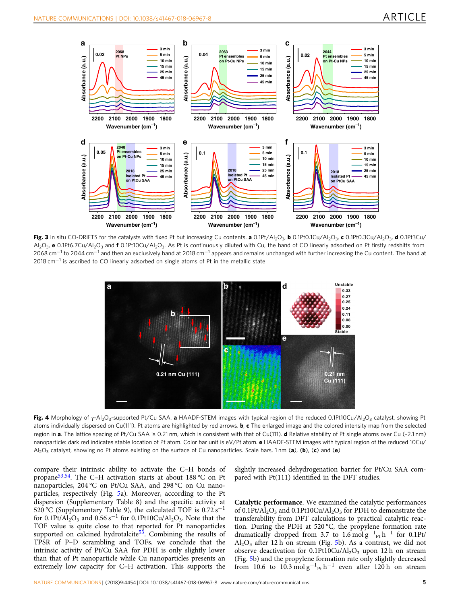<span id="page-4-0"></span>

Fig. 3 In situ CO-DRIFTS for the catalysts with fixed Pt but increasing Cu contents. a 0.1Pt/Al<sub>2</sub>O<sub>3</sub>, b 0.1Pt0.1Cu/Al<sub>2</sub>O<sub>3</sub>, c 0.1Pt0.3Cu/Al<sub>2</sub>O<sub>3</sub>, d 0.1Pt3Cu/ Al<sub>2</sub>O<sub>3</sub>, e 0.1Pt6.7Cu/Al<sub>2</sub>O<sub>3</sub> and f 0.1Pt10Cu/Al<sub>2</sub>O<sub>3</sub>. As Pt is continuously diluted with Cu, the band of CO linearly adsorbed on Pt firstly redshifts from 2068 cm<sup>-1</sup> to 2044 cm<sup>-1</sup> and then an exclusively band at 2018 cm<sup>-1</sup> appears and remains unchanged with further increasing the Cu content. The band at 2018 cm<sup>-1</sup> is ascribed to CO linearly adsorbed on single atoms of Pt in the metallic state



Fig. 4 Morphology of γ-Al<sub>2</sub>O<sub>3</sub>-supported Pt/Cu SAA. a HAADF-STEM images with typical region of the reduced 0.1Pt10Cu/Al<sub>2</sub>O<sub>3</sub> catalyst, showing Pt atoms individually dispersed on Cu(111). Pt atoms are highlighted by red arrows. b, c The enlarged image and the colored intensity map from the selected region in a. The lattice spacing of Pt/Cu SAA is 0.21 nm, which is consistent with that of Cu(111). d Relative stability of Pt single atoms over Cu (~2.1 nm) nanoparticle: dark red indicates stable location of Pt atom. Color bar unit is eV/Pt atom. e HAADF-STEM images with typical region of the reduced 10Cu/ Al<sub>2</sub>O<sub>3</sub> catalyst, showing no Pt atoms existing on the surface of Cu nanoparticles. Scale bars, 1 nm (a), (b), (c) and (e)

compare their intrinsic ability to activate the C–H bonds of propane[53](#page-8-0),[54](#page-8-0). The C–H activation starts at about 188 °C on Pt nanoparticles, 204 °C on Pt/Cu SAA, and 298 °C on Cu nanoparticles, respectively (Fig. [5](#page-5-0)a). Moreover, according to the Pt dispersion (Supplementary Table 8) and the specific activity at 520 °C (Supplementary Table 9), the calculated TOF is  $0.72$  s<sup>−1</sup> for 0.1Pt/Al<sub>2</sub>O<sub>3</sub> and 0.56 s<sup>-1</sup> for 0.1Pt10Cu/Al<sub>2</sub>O<sub>3</sub>. Note that the TOF value is quite close to that reported for Pt nanoparticles supported on calcined hydrotalcite<sup>53</sup>. Combining the results of TPSR of P–D scrambling and TOFs, we conclude that the intrinsic activity of Pt/Cu SAA for PDH is only slightly lower than that of Pt nanoparticle while Cu nanoparticles presents an extremely low capacity for C–H activation. This supports the slightly increased dehydrogenation barrier for Pt/Cu SAA compared with Pt(111) identified in the DFT studies.

Catalytic performance. We examined the catalytic performances of 0.1Pt/Al<sub>2</sub>O<sub>3</sub> and 0.1Pt10Cu/Al<sub>2</sub>O<sub>3</sub> for PDH to demonstrate the transferability from DFT calculations to practical catalytic reaction. During the PDH at 520 °C, the propylene formation rate dramatically dropped from 3.7 to  $1.6 \text{ mol g}^{-1}$ <sub>Pt</sub> h<sup>-1</sup> for 0.1Pt/  $Al_2O_3$  after 12 h on stream (Fig. [5b](#page-5-0)). As a contrast, we did not observe deactivation for  $0.1$ Pt10Cu/Al<sub>2</sub>O<sub>3</sub> upon 12 h on stream (Fig. [5b](#page-5-0)) and the propylene formation rate only slightly decreased from 10.6 to  $10.3 \text{ mol g}^{-1}$ <sub>Pt</sub> h<sup>-1</sup> even after 120 h on stream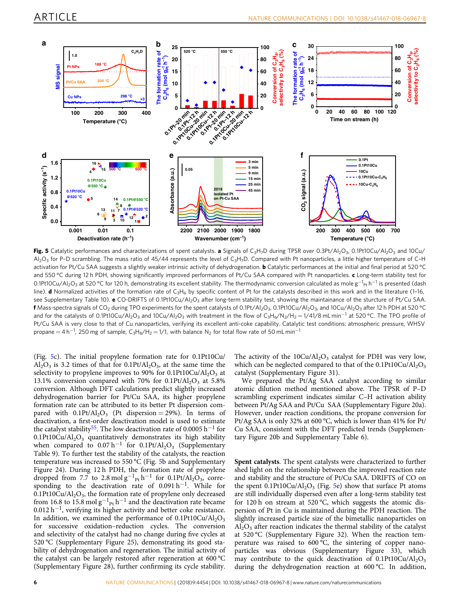<span id="page-5-0"></span>

Fig. 5 Catalytic performances and characterizations of spent catalysts. a Signals of C<sub>3</sub>H<sub>7</sub>D during TPSR over 0.3Pt/Al<sub>2</sub>O<sub>3</sub>, 0.1Pt10Cu/Al<sub>2</sub>O<sub>3</sub> and 10Cu/ Al<sub>2</sub>O<sub>3</sub> for P–D scrambling. The mass ratio of 45/44 represents the level of C<sub>3</sub>H<sub>7</sub>D. Compared with Pt nanoparticles, a little higher temperature of C–H activation for Pt/Cu SAA suggests a slightly weaker intrinsic activity of dehydrogenation. **b** Catalytic performances at the initial and final period at 520 °C and 550 °C during 12 h PDH, showing significantly improved performances of Pt/Cu SAA compared with Pt nanoparticles. c Long-term stability test for 0.1Pt10Cu/Al<sub>2</sub>O<sub>3</sub> at 520 °C for 120 h, demonstrating its excellent stability. The thermodynamic conversion calculated as mole g<sup>−1</sup><sub>Pt</sub> h<sup>−1</sup> is presented (dash line). **d** Normalized activities of the formation rate of C<sub>3</sub>H<sub>6</sub> by specific content of Pt for the catalysts described in this work and in the literature (1-16, see Supplementary Table 10). e CO-DRIFTS of 0.1Pt10Cu/Al<sub>2</sub>O<sub>3</sub> after long-term stability test, showing the maintainance of the sturcture of Pt/Cu SAA. f Mass-spectra signals of CO<sub>2</sub> during TPO experiments for the spent catalysts of 0.1Pt/Al<sub>2</sub>O<sub>3</sub>, 0.1Pt10Cu/Al<sub>2</sub>O<sub>3</sub>, and 10Cu/Al<sub>2</sub>O<sub>3</sub> after 12 h PDH at 520 °C and for the catalysts of 0.1Pt10Cu/Al<sub>2</sub>O<sub>3</sub> and 10Cu/Al<sub>2</sub>O<sub>3</sub> with treatment in the flow of C<sub>3</sub>H<sub>6</sub>/N<sub>2</sub>/H<sub>2</sub> = 1/41/8 mL min<sup>-1</sup> at 520 °C. The TPO profile of Pt/Cu SAA is very close to that of Cu nanoparticles, verifying its excellent anti-coke capability. Catalytic test conditions: atmospheric pressure, WHSV propane  $=$  4 h $^{-1}$ , 250 mg of sample, C<sub>3</sub>H<sub>8</sub>/H<sub>2</sub>  $=$  1/1, with balance N<sub>2</sub> for total flow rate of 50 mL min $^{-1}$ 

(Fig. 5c). The initial propylene formation rate for 0.1Pt10Cu/  $Al_2O_3$  is 3.2 times of that for 0.1Pt/ $Al_2O_3$ , at the same time the selectivity to propylene improves to 90% for  $0.1$ Pt10Cu/Al<sub>2</sub>O<sub>3</sub> at 13.1% conversion compared with 70% for  $0.1$ Pt/Al<sub>2</sub>O<sub>3</sub> at 5.8% conversion. Although DFT calculations predict slightly increased dehydrogenation barrier for Pt/Cu SAA, its higher propylene formation rate can be attributed to its better Pt dispersion compared with  $0.1$ Pt/Al<sub>2</sub>O<sub>3</sub> (Pt dispersion = 29%). In terms of deactivation, a first-order deactivation model is used to estimate the catalyst stability<sup>[55](#page-8-0)</sup>. The low deactivation rate of 0.0005 h<sup>-1</sup> for 0.1Pt10Cu/Al<sub>2</sub>O<sub>3</sub> quantitatively demonstrates its high stability when compared to  $0.07 h^{-1}$  for  $0.1Pt/Al_2O_3$  (Supplementary Table 9). To further test the stability of the catalysts, the reaction temperature was increased to 550 °C (Fig. 5b and Supplementary Figure 24). During 12 h PDH, the formation rate of propylene dropped from 7.7 to 2.8 mol  $g^{-1}$ <sub>Pt</sub> h<sup>-1</sup> for 0.1Pt/Al<sub>2</sub>O<sub>3</sub>, corresponding to the deactivation rate of  $0.091 h^{-1}$ . While for  $0.1$ Pt10Cu/Al<sub>2</sub>O<sub>3</sub>, the formation rate of propylene only decreased from 16.8 to 15.8 mol  $g^{-1}$ <sub>Pt</sub> h<sup>-1</sup> and the deactivation rate became  $0.012 h^{-1}$ , verifying its higher activity and better coke resistance. In addition, we examined the performance of  $0.1$ Pt10Cu/Al<sub>2</sub>O<sub>3</sub> for successive oxidation–reduction cycles. The conversion and selectivity of the catalyst had no change during five cycles at 520 °C (Supplementary Figure 25), demonstrating its good stability of dehydrogenation and regeneration. The initial activity of the catalyst can be largely restored after regeneration at 600 °C (Supplementary Figure 28), further confirming its cycle stability.

The activity of the  $10Cu/Al<sub>2</sub>O<sub>3</sub>$  catalyst for PDH was very low, which can be neglected compared to that of the  $0.1Pt10Cu/Al<sub>2</sub>O<sub>3</sub>$ catalyst (Supplementary Figure 31).

We prepared the Pt/Ag SAA catalyst according to similar atomic dilution method mentioned above. The TPSR of P–D scrambling experiment indicates similar C–H activation ability between Pt/Ag SAA and Pt/Cu SAA (Supplementary Figure 20a). However, under reaction conditions, the propane conversion for Pt/Ag SAA is only 32% at 600 °C, which is lower than 41% for Pt/ Cu SAA, consistent with the DFT predicted trends (Supplementary Figure 20b and Supplementary Table 6).

Spent catalysts. The spent catalysts were characterized to further shed light on the relationship between the improved reaction rate and stability and the structure of Pt/Cu SAA. DRIFTS of CO on the spent  $0.1$ Pt10Cu/Al<sub>2</sub>O<sub>3</sub> (Fig. 5e) show that surface Pt atoms are still individually dispersed even after a long-term stability test for 120 h on stream at 520 °C, which suggests the atomic dispersion of Pt in Cu is maintained during the PDH reaction. The slightly increased particle size of the bimetallic nanoparticles on  $Al<sub>2</sub>O<sub>3</sub>$  after reaction indicates the thermal stability of the catalyst at 520 °C (Supplementary Figure 32). When the reaction temperature was raised to 600 °C, the sintering of copper nanoparticles was obvious (Supplementary Figure 33), which may contribute to the quick deactivation of  $0.1Pt10Cu/Al<sub>2</sub>O<sub>3</sub>$ during the dehydrogenation reaction at 600 °C. In addition,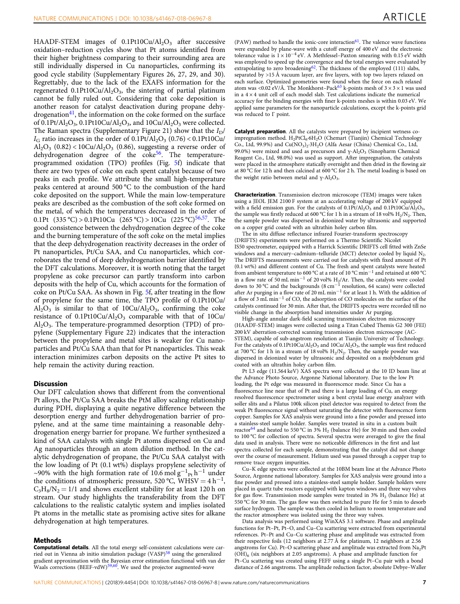HAADF-STEM images of  $0.1Pt10Cu/Al<sub>2</sub>O<sub>3</sub>$  after successive oxidation–reduction cycles show that Pt atoms identified from their higher brightness comparing to their surrounding area are still individually dispersed in Cu nanoparticles, confirming its good cycle stability (Supplementary Figures 26, 27, 29, and 30). Regrettably, due to the lack of the EXAFS information for the regenerated  $0.1$ Pt10Cu/Al<sub>2</sub>O<sub>3</sub>, the sintering of partial platinum cannot be fully ruled out. Considering that coke deposition is another reason for catalyst deactivation during propane dehydrogenation<sup>41</sup>, the information on the coke formed on the surface of 0.1Pt/Al<sub>2</sub>O<sub>3</sub>, 0.1Pt10Cu/Al<sub>2</sub>O<sub>3</sub>, and 10Cu/Al<sub>2</sub>O<sub>3</sub> were collected. The Raman spectra (Supplementary Figure 21) show that the  $I_D$ /  $I_G$  ratio increases in the order of  $0.1$ Pt/Al<sub>2</sub>O<sub>3</sub> (0.76) < 0.1Pt10Cu/  $Al_2O_3$  (0.82) < 10Cu/ $Al_2O_3$  (0.86), suggesting a reverse order of dehydrogenation degree of the  $\csc 56$ . The temperatureprogrammed oxidation (TPO) profiles (Fig. [5](#page-5-0)f) indicate that there are two types of coke on each spent catalyst because of two peaks in each profile. We attribute the small high-temperature peaks centered at around 500 °C to the combustion of the hard coke deposited on the support. While the main low-temperature peaks are described as the combustion of the soft coke formed on the metal, of which the temperatures decreased in the order of 0.1Pt  $(335 °C) > 0.1$ Pt10Cu  $(265 °C) > 10$ Cu  $(225 °C)^{56,57}$ . The good consistence between the dehydrogenation degree of the coke and the burning temperature of the soft coke on the metal implies that the deep dehydrogenation reactivity decreases in the order of Pt nanoparticles, Pt/Cu SAA, and Cu nanoparticles, which corroborates the trend of deep dehydrogenation barrier identified by the DFT calculations. Moreover, it is worth noting that the target propylene as coke precursor can partly transform into carbon deposits with the help of Cu, which accounts for the formation of coke on Pt/Cu SAA. As shown in Fig. [5f](#page-5-0), after treating in the flow of propylene for the same time, the TPO profile of 0.1Pt10Cu/  $Al_2O_3$  is similar to that of  $10Cu/Al_2O_3$ , confirming the coke resistance of  $0.1$ Pt10Cu/Al<sub>2</sub>O<sub>3</sub> comparable with that of 10Cu/ Al2O3. The temperature-programmed desorption (TPD) of propylene (Supplementary Figure 22) indicates that the interaction between the propylene and metal sites is weaker for Cu nanoparticles and Pt/Cu SAA than that for Pt nanoparticles. This weak interaction minimizes carbon deposits on the active Pt sites to help remain the activity during reaction.

### **Discussion**

Our DFT calculation shows that different from the conventional Pt alloys, the Pt/Cu SAA breaks the PtM alloy scaling relationship during PDH, displaying a quite negative difference between the desorption energy and further dehydrogenation barrier of propylene, and at the same time maintaining a reasonable dehydrogenation energy barrier for propane. We further synthesized a kind of SAA catalysts with single Pt atoms dispersed on Cu and Ag nanoparticles through an atom dilution method. In the catalytic dehydrogenation of propane, the Pt/Cu SAA catalyst with the low loading of Pt (0.1 wt%) displays propylene selectivity of ~90% with the high formation rate of 10.6 mol  $g^{-1}$ <sub>Pt</sub> h<sup>-1</sup> under the conditions of atmospheric pressure, 520 °C, WHSV =  $4 h^{-1}$ ,  $C_3H_8/N_2 = 1/1$  and shows excellent stability for at least 120 h on stream. Our study highlights the transferability from the DFT calculations to the realistic catalytic system and implies isolated Pt atoms in the metallic state as promising active sites for alkane dehydrogenation at high temperatures.

### Methods

Computational details. All the total energy self-consistent calculations were car-ried out in Vienna ab initio simulation package (VASP)<sup>[58](#page-8-0)</sup> using the generalized gradient approximation with the Bayesian error estimation functional with van der<br>Waals corrections (BEEF-vdW)<sup>59,60</sup>. We used the projector augmented-wave

(PAW) method to handle the ionic-core interaction $61$ . The valence wave functions were expanded by plane-wave with a cutoff energy of 400 eV and the electronic tolerance value is  $1 \times 10^{-4}$  eV. A Methfessel–Paxton smearing with 0.15 eV width was employed to speed up the convergence and the total energies were evaluated by extrapolating to zero broadening<sup>62</sup>. The thickness of the employed (111) slabs, separated by >15 Å vacuum layer, are five layers, with top two layers relaxed on each surface. Optimized geometries were found when the force on each relaxed atom was <0.02 eV/Å. The Monkhorst–Pack<sup>[63](#page-8-0)</sup> k-points mesh of  $3 \times 3 \times 1$  was used in a  $4 \times 4$  unit cell of each model slab. Test calculations indicate the numerical accuracy for the binding energies with finer k-points meshes is within 0.03 eV. We applied same parameters for the nanoparticle calculations, except the k-points grid was reduced to Γ point.

Catalyst preparation. All the catalysts were prepared by incipient wetness coimpregnation method. H<sub>2</sub>PtCl<sub>6</sub>·6H<sub>2</sub>O (Chemart (Tianjin) Chemical Technology Co., Ltd, 99.9%) and Cu(NO<sub>3</sub>)<sub>2</sub>·3H<sub>2</sub>O (Alfa Aesar (China) Chemical Co., Ltd, 99.0%) were mixed and used as precursors and γ-Al<sub>2</sub>O<sub>3</sub> (Sinopharm Chemical Reagent Co., Ltd, 98.0%) was used as support. After impregnation, the catalysts were placed in the atmosphere statically overnight and then dried in the flowing air at 80 °C for 12 h and then calcined at 600 °C for 2 h. The metal loading is based on the weight ratio between metal and  $v$ -Al<sub>2</sub>O<sub>3</sub>.

Characterization. Transmission electron microscope (TEM) images were taken using a JEOL JEM 2100 F system at an accelerating voltage of 200 kV equipped with a field emission gun. For the catalysts of  $0.1Pt/Al_2O_3$  and  $0.1Pt10Cu/Al_2O_3$ , the sample was firstly reduced at 600 °C for 1 h in a stream of 18 vol%  $H_2/N_2$ . Then, the sample powder was dispersed in deionized water by ultrasonic and supported on a copper grid coated with an ultrathin holey carbon film.

The in situ diffuse reflectance infrared Fourier-transform spectroscopy (DRIFTS) experiments were performed on a Thermo Scientific Nicolet IS50 spectrometer, equipped with a Harrick Scientific DRIFTS cell fitted with ZnSe windows and a mercury–cadmium–telluride (MCT) detector cooled by liquid  $N<sub>2</sub>$ . The DRIFTS measurements were carried out for catalysts with fixed amount of Pt (0.1 wt%) and different content of Cu. The fresh and spent catalysts were heated from ambient temperature to 600 °C at a rate of 10 °C min−<sup>1</sup> and retained at 600 °C in a flow rate of 50 mL min<sup>-1</sup> of 20 vol% H<sub>2</sub>/Ar. Then, the catalysts were cooled down to 30 °C and the backgrounds (8 cm−<sup>1</sup> resolution, 64 scans) were collected after Ar purging in a flow rate of 20 mL min−<sup>1</sup> for at least 1 h. With the addition of a flow of 3 mL min−<sup>1</sup> of CO, the adsorption of CO molecules on the surface of the catalysts continued for 30 min. After that, the DRIFTS spectra were recorded till no visible change in the absorption band intensities under Ar purging.

High-angle annular dark-field scanning transmission electron microscopy (HAADF-STEM) images were collected using a Titan Cubed Themis G2 300 (FEI) 200 kV aberration-corrected scanning transmission electron microscope (AC-STEM), capable of sub-angstrom resolution at Tianjin University of Technology. For the catalysts of  $0.1$ Pt10Cu/Al<sub>2</sub>O<sub>3</sub> and  $10$ Cu/Al<sub>2</sub>O<sub>3</sub>, the sample was first reduced at 700 °C for 1 h in a stream of 18 vol%  $H_2/N_2$ . Then, the sample powder was dispersed in deionized water by ultrasonic and deposited on a molybdenum grid coated with an ultrathin holey carbon film.

Pt L3 edge (11.564 keV) XAS spectra were collected at the 10 ID beam line at the Advance Photo Source, Argonne National laboratory. Due to the low Pt loading, the Pt edge was measured in fluorescence mode. Since Cu has a fluorescence line near that of Pt and there is a large loading of Cu, an energy resolved fluorescence spectrometer using a bent crystal laue energy analyzer with soller slits and a Pilatus 100k silicon pixel detector was required to detect from the weak Pt fluorescence signal without saturating the detector with fluorescence form copper. Samples for XAS analysis were ground into a fine powder and pressed into a stainless-steel sample holder. Samples were treated in situ in a custom built reactor<sup>[64](#page-8-0)</sup> and heated to 550 °C in 3%  $H_2$  (balance He) for 30 min and then cooled to 100 °C for collection of spectra. Several spectra were averaged to give the final data used in analysis. There were no noticeable differences in the first and last spectra collected for each sample, demonstrating that the catalyst did not change over the course of measurement. Helium used was passed through a copper trap to remove trace oxygen impurities.

Cu–K edge spectra were collected at the 10BM beam line at the Advance Photo Source, Argonne national laboratory. Samples for XAS analysis were ground into a fine powder and pressed into a stainless-steel sample holder. Sample holders were placed in quartz tube reactors equipped with kapton windows and three way valves for gas flow. Transmission mode samples were treated in  $3\%$  H<sub>2</sub> (balance He) at 550 °C for 30 min. The gas flow was then switched to pure He for 5 min to desorb surface hydrogen. The sample was then cooled in helium to room temperature and the reactor atmosphere was isolated using the three way valves.

Data analysis was performed using WinXAS 3.1 software. Phase and amplitude functions for Pt–Pt, Pt–O, and Cu–Cu scattering were extracted from experimental references. Pt–Pt and Cu–Cu scattering phase and amplitude was extracted from their respective foils (12 neighbors at 2.77 Å for platinum, 12 neighbors at 2.56 angstroms for Cu). Pt–O scattering phase and amplitude was extracted from Na2Pt  $(OH)_{6}$  (six neighbors at 2.05 angstroms). A phase and amplitude function for Pt–Cu scattering was created using FEFF using a single Pt–Cu pair with a bond distance of 2.66 angstroms. The amplitude reduction factor, absolute Debye–Waller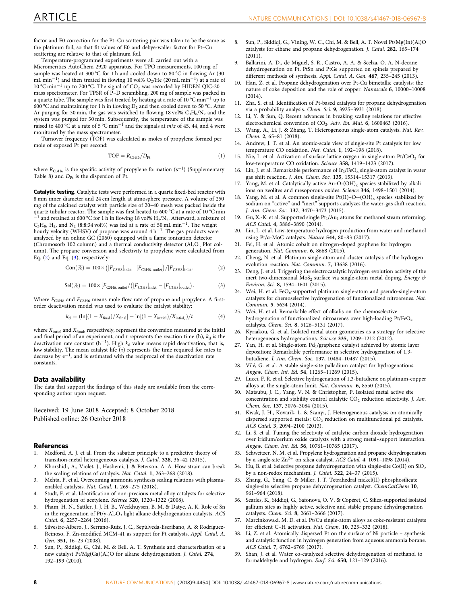<span id="page-7-0"></span>factor and E0 correction for the Pt–Cu scattering pair was taken to be the same as the platinum foil, so that fit values of E0 and debye-waller factor for Pt–Cu scattering are relative to that of platinum foil.

Temperature-programmed experiments were all carried out with a Micromeritics AutoChem 2920 apparatus. For TPO measurements, 100 mg of sample was heated at 300 °C for 1 h and cooled down to 80 °C in flowing Ar (30 mL min<sup>−</sup>1) and then treated in flowing 10 vol% O2/He (20 mL min<sup>−</sup>1) at a rate of 10 °C min−<sup>1</sup> up to 700 °C. The signal of CO2 was recorded by HIDEN QIC-20 mass spectrometer. For TPSR of P–D scrambling, 200 mg of sample was packed in a quartz tube. The sample was first treated by heating at a rate of 10 °C min−<sup>1</sup> up to 600 °C and maintaining for 1 h in flowing  $D_2$  and then cooled down to 50 °C. After Ar purging for 30 min, the gas was switched to flowing 18 vol%  $C_3H_8/N_2$  and the system was purged for 30 min. Subsequently, the temperature of the sample was raised to 400 °C at a rate of 5 °C min−<sup>1</sup> and the signals at m/z of 45, 44, and 4 were monitored by the mass spectrometer.

Turnover frequency (TOF) was calculated as moles of propylene formed per mole of exposed Pt per second:

$$
TOF = RC3H6/DPt
$$
 (1)

where  $R_{C3H6}$  is the specific activity of propylene formation (s<sup>-1</sup>) (Supplementary Table 8) and  $D_{\text{Pt}}$  is the dispersion of Pt.

Catalytic testing. Catalytic tests were performed in a quartz fixed-bed reactor with 8 mm inner diameter and 24 cm length at atmosphere pressure. A volume of 250 mg of the calcined catalyst with particle size of 20–40 mesh was packed inside the quartz tubular reactor. The sample was first heated to 600 °C at a rate of 10 °C min <sup>−1</sup> and retained at 600 °C for 1 h in flowing 18 vol% H<sub>2</sub>/N<sub>2</sub>. Afterward, a mixture of  $C_3H_8$ , H<sub>2</sub>, and N<sub>2</sub> (8:8:34 vol%) was fed at a rate of 50 mL min<sup>-1</sup>. The weight hourly velocity (WHSV) of propane was around  $4 h^{-1}$ . The gas products were analyzed by an online GC (2060) equipped with a flame ionization detector (Chromosorb 102 column) and a thermal conductivity detector  $(Al<sub>2</sub>O<sub>3</sub>$  Plot column). The propane conversion and selectivity to propylene were calculated from Eq.  $(2)$  and Eq.  $(3)$ , respectively:

$$
Con(\%) = 100 \times \left( [F_{\text{C3H8}}]_{\text{inlet}} - [F_{\text{C3H8}}]_{\text{outlet}} \right) / [F_{\text{C3H8}}]_{\text{inlet}}.
$$
 (2)

$$
\text{Sel}(\%) = 100 \times [F_{\text{C3H6}}]_{\text{outlet}} / ([F_{\text{C3H8}}]_{\text{inlet}} - [F_{\text{C3H8}}]_{\text{outlet}}). \tag{3}
$$

Where  $F_{\text{C3H8}}$  and  $F_{\text{C3H6}}$  means mole flow rate of propane and propylene. A firstorder deactivation model was used to evaluate the catalyst stability:

$$
k_{\rm d} = (\ln[(1 - X_{\rm final})/X_{\rm final}] - \ln[(1 - X_{\rm initial})/X_{\rm initial}])/t \tag{4}
$$

where  $X_{\text{initial}}$  and  $X_{\text{final}}$ , respectively, represent the conversion measured at the initial and final period of an experiment, and  $t$  represents the reaction time (h),  $k_d$  is the deactivation rate constant (h<sup>-1</sup>). High  $k_d$  value means rapid deactivation, that is, low stability. The mean catalyst life  $(τ)$  represents the time required for rates to decrease by e<sup>−</sup>1, and is estimated with the reciprocal of the deactivation rate constants.

### Data availability

The data that support the findings of this study are available from the corresponding author upon request.

Received: 19 June 2018 Accepted: 8 October 2018 Published online: 26 October 2018

### References

- 1. Medford, A. J. et al. From the sabatier principle to a predictive theory of transition-metal heterogeneous catalysis. J. Catal. 328, 36–42 (2015).
- 2. Khorshidi, A., Violet, J., Hashemi, J. & Peterson, A. A. How strain can break the scaling relations of catalysis. Nat. Catal. 1, 263–268 (2018).
- 3. Mehta, P. et al. Overcoming ammonia synthesis scaling relations with plasmaenabled catalysis. Nat. Catal. 1, 269–275 (2018).
- 4. Studt, F. et al. Identification of non-precious metal alloy catalysts for selective hydrogenation of acetylene. Science 320, 1320–1322 (2008).
- 5. Pham, H. N., Sattler, J. J. H. B., Weckhuysen, B. M. & Datye, A. K. Role of Sn in the regeneration of  $Pt/\gamma$ - $Al_2O_3$  light alkane dehydrogenation catalysts. ACS Catal. 6, 2257–2264 (2016).
- 6. Silvestre-Albero, J., Serrano-Ruiz, J. C., Sepúlveda-Escribano, A. & Rodríguez-Reinoso, F. Zn-modified MCM-41 as support for Pt catalysts. Appl. Catal. A. Gen. 351, 16–23 (2008).
- Sun, P., Siddiqi, G., Chi, M. & Bell, A. T. Synthesis and characterization of a new catalyst Pt/Mg(Ga)(Al)O for alkane dehydrogenation. J. Catal. 274, 192–199 (2010).
- 8. Sun, P., Siddiqi, G., Vining, W. C., Chi, M. & Bell, A. T. Novel Pt/Mg(In)(Al)O catalysts for ethane and propane dehydrogenation. J. Catal. 282, 165–174 (2011).
- 9. Ballarini, A. D., de Miguel, S. R., Castro, A. A. & Scelza, O. A. N-decane dehydrogenation on Pt, PtSn and PtGe supported on spinels prepared by different methods of synthesis. Appl. Catal. A. Gen. 467, 235–245 (2013).
- 10. Han, Z. et al. Propane dehydrogenation over Pt-Cu bimetallic catalysts: the nature of coke deposition and the role of copper. Nanoscale 6, 10000–10008 (2014).
- 11. Zha, S. et al. Identification of Pt-based catalysts for propane dehydrogenation via a probability analysis. Chem. Sci. 9, 3925–3931 (2018).
- Li, Y. & Sun, Q. Recent advances in breaking scaling relations for effective electrochemical conversion of  $CO<sub>2</sub>$ . Adv. En. Mat. 6, 1600463 (2016).
- 13. Wang, A., Li, J. & Zhang, T. Heterogeneous single-atom catalysis. Nat. Rev. Chem. 2, 65–81 (2018).
- 14. Andrew, J. T. et al. An atomic-scale view of single-site Pt catalysis for low temperature CO oxidation. Nat. Catal. 1, 192–198 (2018).
- 15. Nie, L. et al. Activation of surface lattice oxygen in single-atom  $Pt/CeO<sub>2</sub>$  for low-temperature CO oxidation. Science 358, 1419–1423 (2017).
- 16. Lin, J. et al. Remarkable performance of  $Ir_1/FeO_x$  single-atom catalyst in water gas shift reaction. J. Am. Chem. Soc. 135, 15314–15317 (2013).
- 17. Yang, M. et al. Catalytically active  $Au-O-(OH)_x$  species stabilized by alkali ions on zeolites and mesoporous oxides. Science 346, 1498–1501 (2014).
- 18. Yang, M. et al. A common single-site  $Pt(II)-O-(OH)_x$  species stabilized by sodium on "active" and "inert" supports catalyzes the water-gas shift reaction. J. Am. Chem. Soc. 137, 3470–3473 (2015).
- 19. Gu, X.-K. et al. Supported single  $Pt<sub>1</sub>/Au<sub>1</sub>$  atoms for methanol steam reforming. ACS Catal. 4, 3886–3890 (2014).
- 20. Lin, L. et al. Low-temperature hydrogen production from water and methanol using Pt/α-MoC catalysts. Nature 544, 80–83 (2017).
- 21. Fei, H. et al. Atomic cobalt on nitrogen-doped graphene for hydrogen generation. Nat. Commun. 6, 8668 (2015).
- 22. Cheng, N. et al. Platinum single-atom and cluster catalysis of the hydrogen evolution reaction. Nat. Commun. 7, 13638 (2016).
- 23. Deng, J. et al. Triggering the electrocatalytic hydrogen evolution activity of the inert two-dimensional MoS<sub>2</sub> surface via single-atom metal doping. Energy  $\mathfrak{G}$ Environ. Sci. 8, 1594–1601 (2015).
- 24. Wei, H. et al.  $FeO<sub>x</sub>$ -supported platinum single-atom and pseudo-single-atom catalysts for chemoselective hydrogenation of functionalized nitroarenes. Nat. Commun. 5, 5634 (2014).
- 25. Wei, H. et al. Remarkable effect of alkalis on the chemoselective hydrogenation of functionalized nitroarenes over high-loading Pt/FeO<sub>x</sub> catalysts. Chem. Sci. 8, 5126–5131 (2017).
- Kyriakou, G. et al. Isolated metal atom geometries as a strategy for selective heterogeneous hydrogenations. Science 335, 1209–1212 (2012).
- 27. Yan, H. et al. Single-atom  $Pd_1$ /graphene catalyst achieved by atomic layer deposition: Remarkable performance in selective hydrogenation of 1,3 butadiene. J. Am. Chem. Soc. 137, 10484–10487 (2015).
- 28. Vilé, G. et al. A stable single-site palladium catalyst for hydrogenations. Angew. Chem. Int. Ed. 54, 11265–11269 (2015).
- 29. Lucci, F. R. et al. Selective hydrogenation of 1,3-butadiene on platinum-copper alloys at the single-atom limit. Nat. Commun. 6, 8550 (2015).
- 30. Matsubu, J. C., Yang, V. N. & Christopher, P. Isolated metal active site concentration and stability control catalytic  $CO<sub>2</sub>$  reduction selectivity. J. Am. Chem. Soc. 137, 3076–3084 (2015).
- 31. Kwak, J. H., Kovarik, L. & Szanyi, J. Heterogeneous catalysis on atomically dispersed supported metals: CO<sub>2</sub> reduction on multifunctional pd catalysts. ACS Catal. 3, 2094–2100 (2013).
- 32. Li, S. et al. Tuning the selectivity of catalytic carbon dioxide hydrogenation over iridium/cerium oxide catalysts with a strong metal–support interaction. Angew. Chem. Int. Ed. 56, 10761–10765 (2017).
- 33. Schweitzer, N. M. et al. Propylene hydrogenation and propane dehydrogenation by a single-site  $Zn^{2+}$  on silica catalyst. ACS Catal. 4, 1091-1098 (2014).
- 34. Hu, B. et al. Selective propane dehydrogenation with single-site  $Co(II)$  on  $SiO<sub>2</sub>$ by a non-redox mechanism. J. Catal. 322, 24–37 (2015).
- 35. Zhang, G., Yang, C. & Miller, J. T. Tetrahedral nickel(II) phosphosilicate single-site selective propane dehydrogenation catalyst. ChemCatChem 10, 961–964 (2018).
- 36. Searles, K., Siddiqi, G., Safonova, O. V. & Copéret, C. Silica-supported isolated gallium sites as highly active, selective and stable propane dehydrogenation catalysts. Chem. Sci. 8, 2661–2666 (2017).
- 37. Marcinkowski, M. D. et al. Pt/Cu single-atom alloys as coke-resistant catalysts for efficient C–H activation. Nat. Chem. 10, 325–332 (2018).
- 38. Li, Z. et al. Atomically dispersed Pt on the surface of Ni particle synthesis and catalytic function in hydrogen generation from aqueous ammonia borane. ACS Catal. 7, 6762–6769 (2017).
- 39. Shan, J. et al. Water co-catalyzed selective dehydrogenation of methanol to formaldehyde and hydrogen. Surf. Sci. 650, 121–129 (2016).